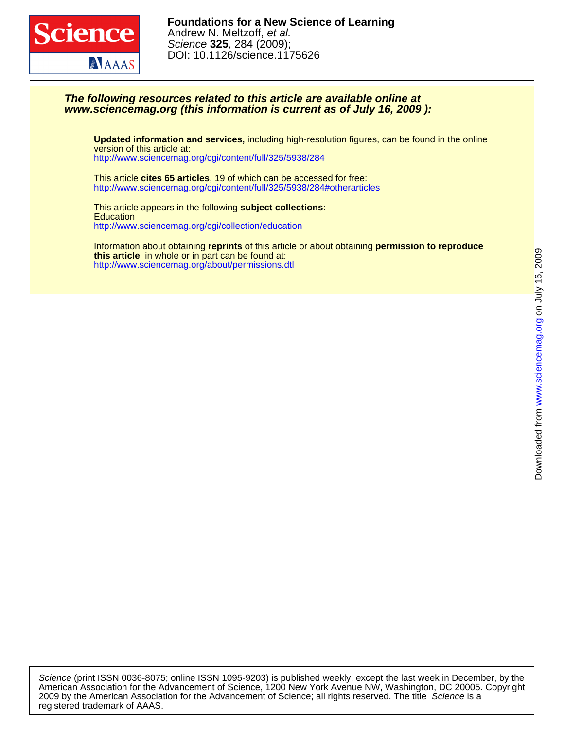

## www.sciencemag.org (this information is current as of July 16, 2009): **The following resources related to this article are available online at**

<http://www.sciencemag.org/cgi/content/full/325/5938/284> version of this article at: **Updated information and services,** including high-resolution figures, can be found in the online

<http://www.sciencemag.org/cgi/content/full/325/5938/284#otherarticles> This article **cites 65 articles**, 19 of which can be accessed for free:

<http://www.sciencemag.org/cgi/collection/education> **Education** This article appears in the following **subject collections**:

<http://www.sciencemag.org/about/permissions.dtl> **this article** in whole or in part can be found at: Information about obtaining **reprints** of this article or about obtaining **permission to reproduce**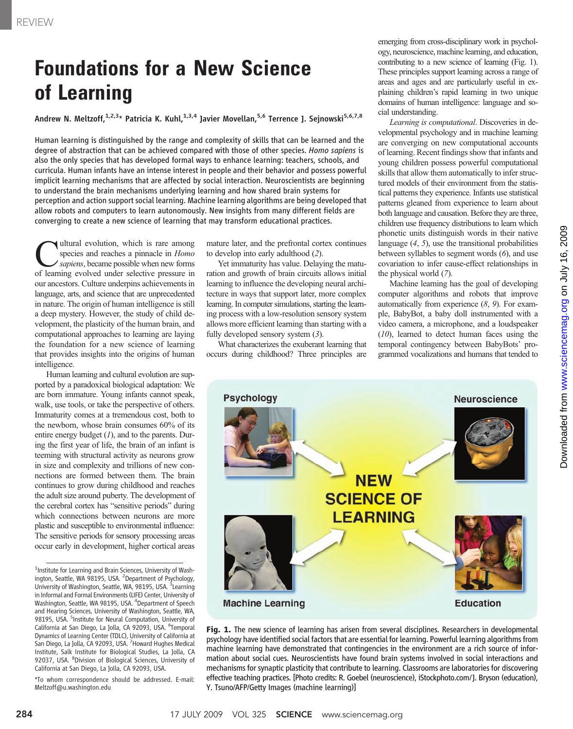# Foundations for a New Science of Learning

Andrew N. Meltzoff,  $1,2,3*$  Patricia K. Kuhl,  $1,3,4$  Javier Movellan,  $5,6$  Terrence J. Sejnowski $5,6,7,8$ 

Human learning is distinguished by the range and complexity of skills that can be learned and the degree of abstraction that can be achieved compared with those of other species. Homo sapiens is also the only species that has developed formal ways to enhance learning: teachers, schools, and curricula. Human infants have an intense interest in people and their behavior and possess powerful implicit learning mechanisms that are affected by social interaction. Neuroscientists are beginning to understand the brain mechanisms underlying learning and how shared brain systems for perception and action support social learning. Machine learning algorithms are being developed that allow robots and computers to learn autonomously. New insights from many different fields are converging to create a new science of learning that may transform educational practices.

**Cultural evolution, which is rare among**<br>species and reaches a pinnacle in *Homo*<br>sapiens, became possible when new forms<br>of learning evolved under selective pressure in species and reaches a pinnacle in Homo of learning evolved under selective pressure in our ancestors. Culture underpins achievements in language, arts, and science that are unprecedented in nature. The origin of human intelligence is still a deep mystery. However, the study of child development, the plasticity of the human brain, and computational approaches to learning are laying the foundation for a new science of learning that provides insights into the origins of human intelligence.

Human learning and cultural evolution are supported by a paradoxical biological adaptation: We are born immature. Young infants cannot speak, walk, use tools, or take the perspective of others. Immaturity comes at a tremendous cost, both to the newborn, whose brain consumes 60% of its entire energy budget  $(1)$ , and to the parents. During the first year of life, the brain of an infant is teeming with structural activity as neurons grow in size and complexity and trillions of new connections are formed between them. The brain continues to grow during childhood and reaches the adult size around puberty. The development of the cerebral cortex has "sensitive periods" during which connections between neurons are more plastic and susceptible to environmental influence: The sensitive periods for sensory processing areas occur early in development, higher cortical areas

\*To whom correspondence should be addressed. E-mail: Meltzoff@u.washington.edu

mature later, and the prefrontal cortex continues to develop into early adulthood (2).

Yet immaturity has value. Delaying the maturation and growth of brain circuits allows initial learning to influence the developing neural architecture in ways that support later, more complex learning. In computer simulations, starting the learning process with a low-resolution sensory system allows more efficient learning than starting with a fully developed sensory system (3).

What characterizes the exuberant learning that occurs during childhood? Three principles are emerging from cross-disciplinary work in psychology, neuroscience, machine learning, and education, contributing to a new science of learning (Fig. 1). These principles support learning across a range of areas and ages and are particularly useful in explaining children's rapid learning in two unique domains of human intelligence: language and social understanding.

Learning is computational. Discoveries in developmental psychology and in machine learning are converging on new computational accounts of learning. Recent findings show that infants and young children possess powerful computational skills that allow them automatically to infer structured models of their environment from the statistical patterns they experience. Infants use statistical patterns gleaned from experience to learn about both language and causation. Before they are three, children use frequency distributions to learn which phonetic units distinguish words in their native language  $(4, 5)$ , use the transitional probabilities between syllables to segment words  $(6)$ , and use covariation to infer cause-effect relationships in the physical world (7).

Machine learning has the goal of developing computer algorithms and robots that improve automatically from experience (8, 9). For example, BabyBot, a baby doll instrumented with a video camera, a microphone, and a loudspeaker (10), learned to detect human faces using the temporal contingency between BabyBots' programmed vocalizations and humans that tended to



Fig. 1. The new science of learning has arisen from several disciplines. Researchers in developmental psychology have identified social factors that are essential for learning. Powerful learning algorithms from machine learning have demonstrated that contingencies in the environment are a rich source of information about social cues. Neuroscientists have found brain systems involved in social interactions and mechanisms for synaptic plasticity that contribute to learning. Classrooms are laboratories for discovering effective teaching practices. [Photo credits: R. Goebel (neuroscience), iStockphoto.com/J. Bryson (education), Y. Tsuno/AFP/Getty Images (machine learning)]

<sup>&</sup>lt;sup>1</sup>Institute for Learning and Brain Sciences, University of Washington, Seattle, WA 98195, USA. <sup>2</sup>Department of Psychology, University of Washington, Seattle, WA, 98195, USA. <sup>3</sup>Learning in Informal and Formal Environments (LIFE) Center, University of Washington, Seattle, WA 98195, USA. <sup>4</sup>Department of Speech and Hearing Sciences, University of Washington, Seattle, WA, 98195, USA. <sup>5</sup>Institute for Neural Computation, University of California at San Diego, La Jolla, CA 92093, USA. <sup>6</sup>Temporal Dynamics of Learning Center (TDLC), University of California at San Diego, La Jolla, CA 92093, USA. <sup>7</sup> Howard Hughes Medical Institute, Salk Institute for Biological Studies, La Jolla, CA 92037, USA. <sup>8</sup>Division of Biological Sciences, University of California at San Diego, La Jolla, CA 92093, USA.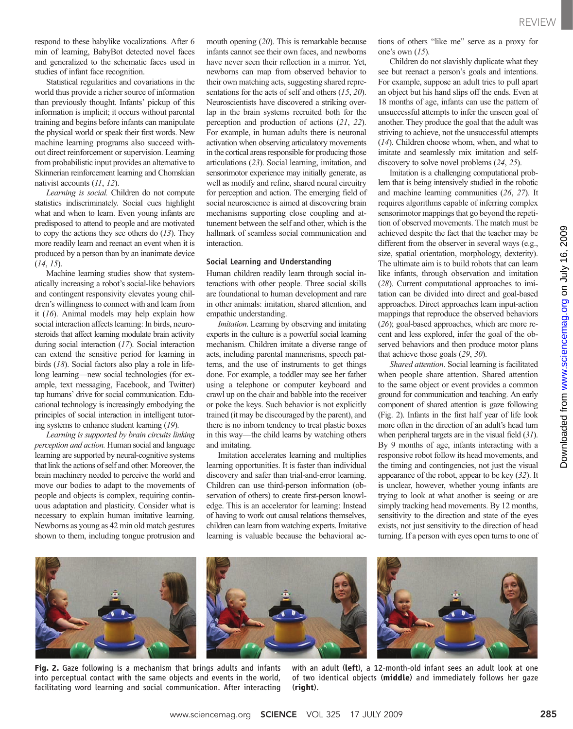respond to these babylike vocalizations. After 6 min of learning, BabyBot detected novel faces and generalized to the schematic faces used in studies of infant face recognition.

Statistical regularities and covariations in the world thus provide a richer source of information than previously thought. Infants' pickup of this information is implicit; it occurs without parental training and begins before infants can manipulate the physical world or speak their first words. New machine learning programs also succeed without direct reinforcement or supervision. Learning from probabilistic input provides an alternative to Skinnerian reinforcement learning and Chomskian nativist accounts (11, 12).

Learning is social. Children do not compute statistics indiscriminately. Social cues highlight what and when to learn. Even young infants are predisposed to attend to people and are motivated to copy the actions they see others do  $(13)$ . They more readily learn and reenact an event when it is produced by a person than by an inanimate device  $(14, 15)$ .

Machine learning studies show that systematically increasing a robot's social-like behaviors and contingent responsivity elevates young children's willingness to connect with and learn from it (16). Animal models may help explain how social interaction affects learning: In birds, neurosteroids that affect learning modulate brain activity during social interaction (17). Social interaction can extend the sensitive period for learning in birds (18). Social factors also play a role in lifelong learning—new social technologies (for example, text messaging, Facebook, and Twitter) tap humans' drive for social communication. Educational technology is increasingly embodying the principles of social interaction in intelligent tutoring systems to enhance student learning (19).

Learning is supported by brain circuits linking perception and action. Human social and language learning are supported by neural-cognitive systems that link the actions of self and other. Moreover, the brain machinery needed to perceive the world and move our bodies to adapt to the movements of people and objects is complex, requiring continuous adaptation and plasticity. Consider what is necessary to explain human imitative learning. Newborns as young as 42 min old match gestures shown to them, including tongue protrusion and

mouth opening (20). This is remarkable because infants cannot see their own faces, and newborns have never seen their reflection in a mirror. Yet, newborns can map from observed behavior to their own matching acts, suggesting shared representations for the acts of self and others (15, 20). Neuroscientists have discovered a striking overlap in the brain systems recruited both for the perception and production of actions (21, 22). For example, in human adults there is neuronal activation when observing articulatory movements in the cortical areas responsible for producing those articulations (23). Social learning, imitation, and sensorimotor experience may initially generate, as well as modify and refine, shared neural circuitry for perception and action. The emerging field of social neuroscience is aimed at discovering brain mechanisms supporting close coupling and attunement between the self and other, which is the hallmark of seamless social communication and interaction.

## Social Learning and Understanding

Human children readily learn through social interactions with other people. Three social skills are foundational to human development and rare in other animals: imitation, shared attention, and empathic understanding.

Imitation. Learning by observing and imitating experts in the culture is a powerful social learning mechanism. Children imitate a diverse range of acts, including parental mannerisms, speech patterns, and the use of instruments to get things done. For example, a toddler may see her father using a telephone or computer keyboard and crawl up on the chair and babble into the receiver or poke the keys. Such behavior is not explicitly trained (it may be discouraged by the parent), and there is no inborn tendency to treat plastic boxes in this way—the child learns by watching others and imitating.

Imitation accelerates learning and multiplies learning opportunities. It is faster than individual discovery and safer than trial-and-error learning. Children can use third-person information (observation of others) to create first-person knowledge. This is an accelerator for learning: Instead of having to work out causal relations themselves, children can learn from watching experts. Imitative learning is valuable because the behavioral actions of others "like me" serve as a proxy for one's own  $(15)$ .

Children do not slavishly duplicate what they see but reenact a person's goals and intentions. For example, suppose an adult tries to pull apart an object but his hand slips off the ends. Even at 18 months of age, infants can use the pattern of unsuccessful attempts to infer the unseen goal of another. They produce the goal that the adult was striving to achieve, not the unsuccessful attempts (14). Children choose whom, when, and what to imitate and seamlessly mix imitation and selfdiscovery to solve novel problems (24, 25).

Imitation is a challenging computational problem that is being intensively studied in the robotic and machine learning communities (26, 27). It requires algorithms capable of inferring complex sensorimotor mappings that go beyond the repetition of observed movements. The match must be achieved despite the fact that the teacher may be different from the observer in several ways (e.g., size, spatial orientation, morphology, dexterity). The ultimate aim is to build robots that can learn like infants, through observation and imitation (28). Current computational approaches to imitation can be divided into direct and goal-based approaches. Direct approaches learn input-action mappings that reproduce the observed behaviors (26); goal-based approaches, which are more recent and less explored, infer the goal of the observed behaviors and then produce motor plans that achieve those goals (29, 30).

Shared attention. Social learning is facilitated when people share attention. Shared attention to the same object or event provides a common ground for communication and teaching. An early component of shared attention is gaze following (Fig. 2). Infants in the first half year of life look more often in the direction of an adult's head turn when peripheral targets are in the visual field (31). By 9 months of age, infants interacting with a responsive robot follow its head movements, and the timing and contingencies, not just the visual appearance of the robot, appear to be key (32). It is unclear, however, whether young infants are trying to look at what another is seeing or are simply tracking head movements. By 12 months, sensitivity to the direction and state of the eyes exists, not just sensitivity to the direction of head turning. If a person with eyes open turns to one of





with an adult (left), a 12-month-old infant sees an adult look at one of two identical objects (middle) and immediately follows her gaze (right).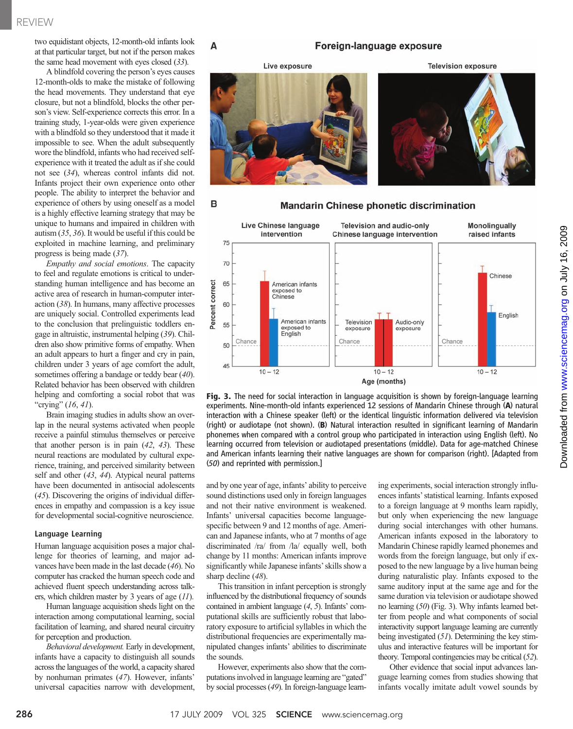two equidistant objects, 12-month-old infants look at that particular target, but not if the person makes the same head movement with eyes closed (33).

A blindfold covering the person's eyes causes 12-month-olds to make the mistake of following the head movements. They understand that eye closure, but not a blindfold, blocks the other person's view. Self-experience corrects this error. In a training study, 1-year-olds were given experience with a blindfold so they understood that it made it impossible to see. When the adult subsequently wore the blindfold, infants who had received selfexperience with it treated the adult as if she could not see (34), whereas control infants did not. Infants project their own experience onto other people. The ability to interpret the behavior and experience of others by using oneself as a model is a highly effective learning strategy that may be unique to humans and impaired in children with autism (35, 36). It would be useful if this could be exploited in machine learning, and preliminary progress is being made (37).

Empathy and social emotions. The capacity to feel and regulate emotions is critical to understanding human intelligence and has become an active area of research in human-computer interaction (38). In humans, many affective processes are uniquely social. Controlled experiments lead to the conclusion that prelinguistic toddlers engage in altruistic, instrumental helping (39). Children also show primitive forms of empathy. When an adult appears to hurt a finger and cry in pain, children under 3 years of age comfort the adult, sometimes offering a bandage or teddy bear (40). Related behavior has been observed with children helping and comforting a social robot that was "crying" (16, 41).

Brain imaging studies in adults show an overlap in the neural systems activated when people receive a painful stimulus themselves or perceive that another person is in pain  $(42, 43)$ . These neural reactions are modulated by cultural experience, training, and perceived similarity between self and other (43, 44). Atypical neural patterns have been documented in antisocial adolescents (45). Discovering the origins of individual differences in empathy and compassion is a key issue for developmental social-cognitive neuroscience.

### Language Learning

Human language acquisition poses a major challenge for theories of learning, and major advances have been made in the last decade (46). No computer has cracked the human speech code and achieved fluent speech understanding across talkers, which children master by 3 years of age (11).

Human language acquisition sheds light on the interaction among computational learning, social facilitation of learning, and shared neural circuitry for perception and production.

Behavioral development. Early in development, infants have a capacity to distinguish all sounds across the languages of the world, a capacity shared by nonhuman primates (47). However, infants' universal capacities narrow with development,

## Foreign-language exposure





A

**Mandarin Chinese phonetic discrimination** 



Fig. 3. The need for social interaction in language acquisition is shown by foreign-language learning experiments. Nine-month-old infants experienced 12 sessions of Mandarin Chinese through (A) natural interaction with a Chinese speaker (left) or the identical linguistic information delivered via television (right) or audiotape (not shown). (B) Natural interaction resulted in significant learning of Mandarin phonemes when compared with a control group who participated in interaction using English (left). No learning occurred from television or audiotaped presentations (middle). Data for age-matched Chinese and American infants learning their native languages are shown for comparison (right). [Adapted from (50) and reprinted with permission.]

and by one year of age, infants' ability to perceive sound distinctions used only in foreign languages and not their native environment is weakened. Infants' universal capacities become languagespecific between 9 and 12 months of age. American and Japanese infants, who at 7 months of age discriminated /ra/ from /la/ equally well, both change by 11 months: American infants improve significantly while Japanese infants'skills show a sharp decline (48).

This transition in infant perception is strongly influenced by the distributional frequency of sounds contained in ambient language (4, 5). Infants' computational skills are sufficiently robust that laboratory exposure to artificial syllables in which the distributional frequencies are experimentally manipulated changes infants' abilities to discriminate the sounds.

However, experiments also show that the computations involved in language learning are "gated" by social processes (49). In foreign-language learning experiments, social interaction strongly influences infants'statistical learning. Infants exposed to a foreign language at 9 months learn rapidly, but only when experiencing the new language during social interchanges with other humans. American infants exposed in the laboratory to Mandarin Chinese rapidly learned phonemes and words from the foreign language, but only if exposed to the new language by a live human being during naturalistic play. Infants exposed to the same auditory input at the same age and for the same duration via television or audiotape showed no learning (50) (Fig. 3). Why infants learned better from people and what components of social interactivity support language learning are currently being investigated (51). Determining the key stimulus and interactive features will be important for theory. Temporal contingencies may be critical (52).

Other evidence that social input advances language learning comes from studies showing that infants vocally imitate adult vowel sounds by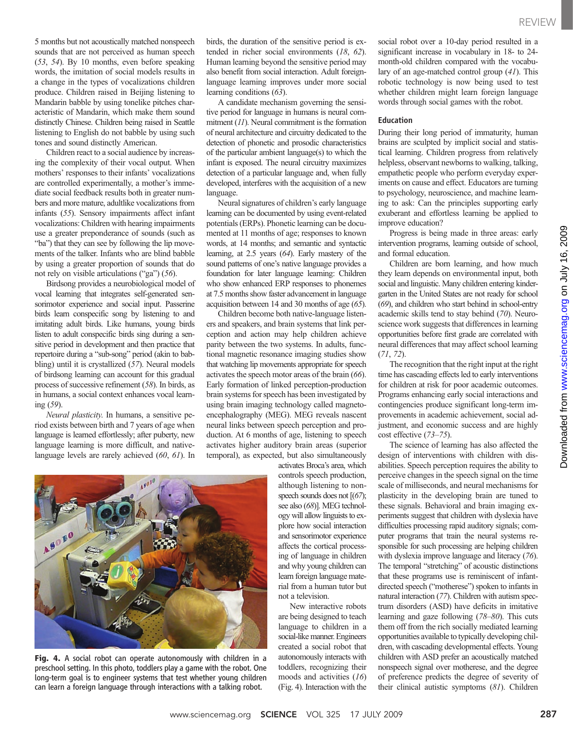5 months but not acoustically matched nonspeech sounds that are not perceived as human speech (53, 54). By 10 months, even before speaking words, the imitation of social models results in a change in the types of vocalizations children produce. Children raised in Beijing listening to Mandarin babble by using tonelike pitches characteristic of Mandarin, which make them sound distinctly Chinese. Children being raised in Seattle listening to English do not babble by using such tones and sound distinctly American.

Children react to a social audience by increasing the complexity of their vocal output. When mothers' responses to their infants' vocalizations are controlled experimentally, a mother's immediate social feedback results both in greater numbers and more mature, adultlike vocalizations from infants (55). Sensory impairments affect infant vocalizations: Children with hearing impairments use a greater preponderance of sounds (such as "ba") that they can see by following the lip movements of the talker. Infants who are blind babble by using a greater proportion of sounds that do not rely on visible articulations ("ga") (56).

Birdsong provides a neurobiological model of vocal learning that integrates self-generated sensorimotor experience and social input. Passerine birds learn conspecific song by listening to and imitating adult birds. Like humans, young birds listen to adult conspecific birds sing during a sensitive period in development and then practice that repertoire during a "sub-song" period (akin to babbling) until it is crystallized (57). Neural models of birdsong learning can account for this gradual process of successive refinement (58). In birds, as in humans, a social context enhances vocal learning (59).

Neural plasticity. In humans, a sensitive period exists between birth and 7 years of age when language is learned effortlessly; after puberty, new language learning is more difficult, and nativelanguage levels are rarely achieved (60, 61). In

birds, the duration of the sensitive period is extended in richer social environments (18, 62). Human learning beyond the sensitive period may also benefit from social interaction. Adult foreignlanguage learning improves under more social learning conditions (63).

A candidate mechanism governing the sensitive period for language in humans is neural commitment (11). Neural commitment is the formation of neural architecture and circuitry dedicated to the detection of phonetic and prosodic characteristics of the particular ambient language(s) to which the infant is exposed. The neural circuitry maximizes detection of a particular language and, when fully developed, interferes with the acquisition of a new language.

Neural signatures of children's early language learning can be documented by using event-related potentials (ERPs). Phonetic learning can be documented at 11 months of age; responses to known words, at 14 months; and semantic and syntactic learning, at 2.5 years (64). Early mastery of the sound patterns of one's native language provides a foundation for later language learning: Children who show enhanced ERP responses to phonemes at 7.5 months show faster advancement in language acquisition between 14 and 30 months of age (65).

Children become both native-language listeners and speakers, and brain systems that link perception and action may help children achieve parity between the two systems. In adults, functional magnetic resonance imaging studies show that watching lip movements appropriate for speech activates the speech motor areas of the brain (66). Early formation of linked perception-production brain systems for speech has been investigated by using brain imaging technology called magnetoencephalography (MEG). MEG reveals nascent neural links between speech perception and production. At 6 months of age, listening to speech activates higher auditory brain areas (superior temporal), as expected, but also simultaneously

activates Broca's area, which controls speech production, although listening to nonspeech sounds does not  $[(67);$ see also (68)]. MEG technology will allow linguists to explore how social interaction and sensorimotor experience affects the cortical processing of language in children and why young children can learn foreign language material from a human tutor but not a television.

New interactive robots are being designed to teach language to children in a social-like manner. Engineers created a social robot that autonomously interacts with toddlers, recognizing their moods and activities (16) (Fig. 4). Interaction with the social robot over a 10-day period resulted in a significant increase in vocabulary in 18- to 24 month-old children compared with the vocabulary of an age-matched control group (41). This robotic technology is now being used to test whether children might learn foreign language words through social games with the robot.

## Education

During their long period of immaturity, human brains are sculpted by implicit social and statistical learning. Children progress from relatively helpless, observant newborns to walking, talking, empathetic people who perform everyday experiments on cause and effect. Educators are turning to psychology, neuroscience, and machine learning to ask: Can the principles supporting early exuberant and effortless learning be applied to improve education?

Progress is being made in three areas: early intervention programs, learning outside of school, and formal education.

Children are born learning, and how much they learn depends on environmental input, both social and linguistic. Many children entering kindergarten in the United States are not ready for school (69), and children who start behind in school-entry academic skills tend to stay behind (70). Neuroscience work suggests that differences in learning opportunities before first grade are correlated with neural differences that may affect school learning (71, 72).

The recognition that the right input at the right time has cascading effects led to early interventions for children at risk for poor academic outcomes. Programs enhancing early social interactions and contingencies produce significant long-term improvements in academic achievement, social adjustment, and economic success and are highly cost effective (73–75).

The science of learning has also affected the design of interventions with children with disabilities. Speech perception requires the ability to perceive changes in the speech signal on the time scale of milliseconds, and neural mechanisms for plasticity in the developing brain are tuned to these signals. Behavioral and brain imaging experiments suggest that children with dyslexia have difficulties processing rapid auditory signals; computer programs that train the neural systems responsible for such processing are helping children with dyslexia improve language and literacy (76). The temporal "stretching" of acoustic distinctions that these programs use is reminiscent of infantdirected speech ("motherese") spoken to infants in natural interaction (77). Children with autism spectrum disorders (ASD) have deficits in imitative learning and gaze following (78–80). This cuts them off from the rich socially mediated learning opportunities available to typically developing children, with cascading developmental effects. Young children with ASD prefer an acoustically matched nonspeech signal over motherese, and the degree of preference predicts the degree of severity of their clinical autistic symptoms (81). Children



Fig. 4. A social robot can operate autonomously with children in a preschool setting. In this photo, toddlers play a game with the robot. One long-term goal is to engineer systems that test whether young children can learn a foreign language through interactions with a talking robot.